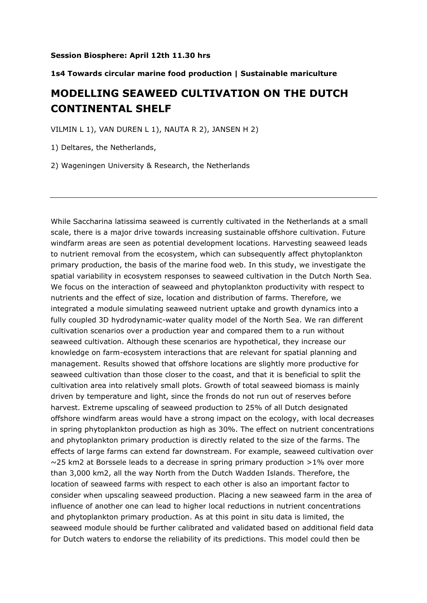## **Session Biosphere: April 12th 11.30 hrs**

## **1s4 Towards circular marine food production | Sustainable mariculture**

## **MODELLING SEAWEED CULTIVATION ON THE DUTCH CONTINENTAL SHELF**

VILMIN L 1), VAN DUREN L 1), NAUTA R 2), JANSEN H 2)

1) Deltares, the Netherlands,

2) Wageningen University & Research, the Netherlands

While Saccharina latissima seaweed is currently cultivated in the Netherlands at a small scale, there is a major drive towards increasing sustainable offshore cultivation. Future windfarm areas are seen as potential development locations. Harvesting seaweed leads to nutrient removal from the ecosystem, which can subsequently affect phytoplankton primary production, the basis of the marine food web. In this study, we investigate the spatial variability in ecosystem responses to seaweed cultivation in the Dutch North Sea. We focus on the interaction of seaweed and phytoplankton productivity with respect to nutrients and the effect of size, location and distribution of farms. Therefore, we integrated a module simulating seaweed nutrient uptake and growth dynamics into a fully coupled 3D hydrodynamic-water quality model of the North Sea. We ran different cultivation scenarios over a production year and compared them to a run without seaweed cultivation. Although these scenarios are hypothetical, they increase our knowledge on farm-ecosystem interactions that are relevant for spatial planning and management. Results showed that offshore locations are slightly more productive for seaweed cultivation than those closer to the coast, and that it is beneficial to split the cultivation area into relatively small plots. Growth of total seaweed biomass is mainly driven by temperature and light, since the fronds do not run out of reserves before harvest. Extreme upscaling of seaweed production to 25% of all Dutch designated offshore windfarm areas would have a strong impact on the ecology, with local decreases in spring phytoplankton production as high as 30%. The effect on nutrient concentrations and phytoplankton primary production is directly related to the size of the farms. The effects of large farms can extend far downstream. For example, seaweed cultivation over  $\sim$ 25 km2 at Borssele leads to a decrease in spring primary production >1% over more than 3,000 km2, all the way North from the Dutch Wadden Islands. Therefore, the location of seaweed farms with respect to each other is also an important factor to consider when upscaling seaweed production. Placing a new seaweed farm in the area of influence of another one can lead to higher local reductions in nutrient concentrations and phytoplankton primary production. As at this point in situ data is limited, the seaweed module should be further calibrated and validated based on additional field data for Dutch waters to endorse the reliability of its predictions. This model could then be